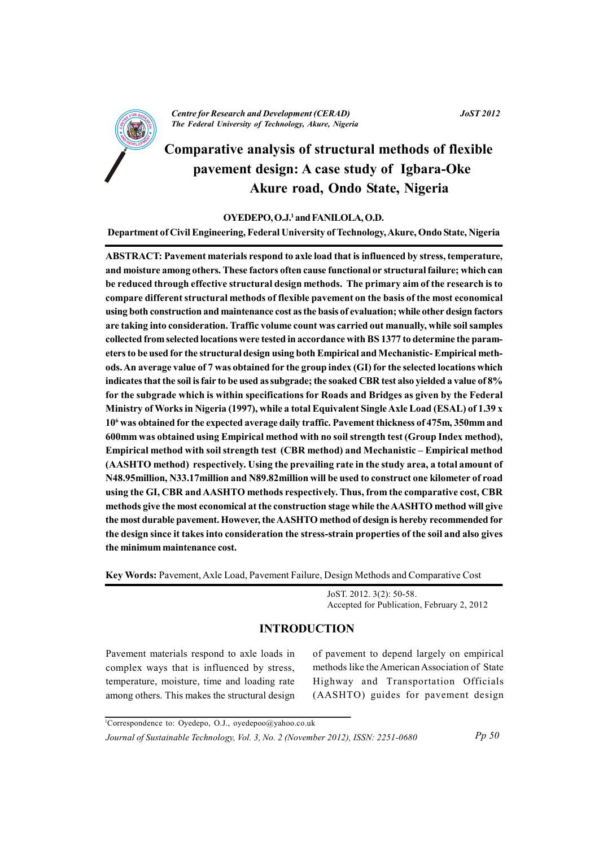

**Centre for Research and Development (CERAD)** The Federal University of Technology, Akure, Nigeria

# **Comparative analysis of structural methods of flexible** pavement design: A case study of Igbara-Oke Akure road, Ondo State, Nigeria

#### OYEDEPO, O.J.<sup>1</sup> and FANILOLA, O.D.

Department of Civil Engineering, Federal University of Technology, Akure, Ondo State, Nigeria

ABSTRACT: Pavement materials respond to axle load that is influenced by stress, temperature, and moisture among others. These factors often cause functional or structural failure; which can be reduced through effective structural design methods. The primary aim of the research is to compare different structural methods of flexible pavement on the basis of the most economical using both construction and maintenance cost as the basis of evaluation; while other design factors are taking into consideration. Traffic volume count was carried out manually, while soil samples collected from selected locations were tested in accordance with BS 1377 to determine the parameters to be used for the structural design using both Empirical and Mechanistic-Empirical methods. An average value of 7 was obtained for the group index (GI) for the selected locations which indicates that the soil is fair to be used as subgrade; the soaked CBR test also yielded a value of 8% for the subgrade which is within specifications for Roads and Bridges as given by the Federal Ministry of Works in Nigeria (1997), while a total Equivalent Single Axle Load (ESAL) of 1.39 x 10<sup>6</sup> was obtained for the expected average daily traffic. Pavement thickness of 475m, 350mm and 600mm was obtained using Empirical method with no soil strength test (Group Index method). Empirical method with soil strength test (CBR method) and Mechanistic – Empirical method (AASHTO method) respectively. Using the prevailing rate in the study area, a total amount of N48.95million, N33.17million and N89.82million will be used to construct one kilometer of road using the GI, CBR and AASHTO methods respectively. Thus, from the comparative cost, CBR methods give the most economical at the construction stage while the AASHTO method will give the most durable pavement. However, the AASHTO method of design is hereby recommended for the design since it takes into consideration the stress-strain properties of the soil and also gives the minimum maintenance cost.

Key Words: Pavement, Axle Load, Pavement Failure, Design Methods and Comparative Cost

JoST. 2012. 3(2): 50-58. Accepted for Publication, February 2, 2012

### **INTRODUCTION**

Pavement materials respond to axle loads in complex ways that is influenced by stress, temperature, moisture, time and loading rate among others. This makes the structural design of pavement to depend largely on empirical methods like the American Association of State Highway and Transportation Officials (AASHTO) guides for pavement design

<sup>&</sup>lt;sup>1</sup>Correspondence to: Oyedepo, O.J., oyedepoo@yahoo.co.uk Journal of Sustainable Technology, Vol. 3, No. 2 (November 2012), ISSN: 2251-0680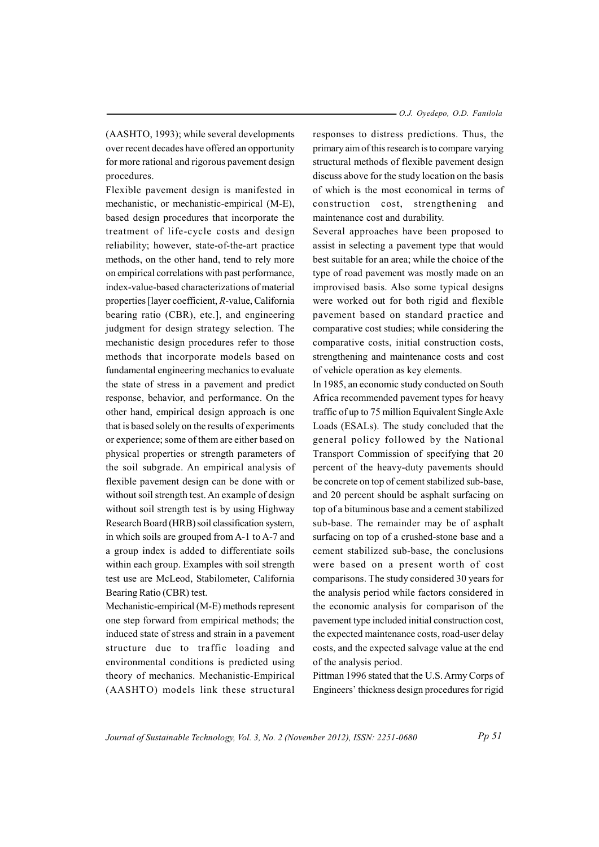(AASHTO, 1993); while several developments over recent decades have offered an opportunity for more rational and rigorous pavement design procedures.

Flexible pavement design is manifested in mechanistic, or mechanistic-empirical (M-E), based design procedures that incorporate the treatment of life-cycle costs and design reliability; however, state-of-the-art practice methods, on the other hand, tend to rely more on empirical correlations with past performance, index-value-based characterizations of material properties [layer coefficient, R-value, California bearing ratio (CBR), etc.], and engineering judgment for design strategy selection. The mechanistic design procedures refer to those methods that incorporate models based on fundamental engineering mechanics to evaluate the state of stress in a pavement and predict response, behavior, and performance. On the other hand, empirical design approach is one that is based solely on the results of experiments or experience; some of them are either based on physical properties or strength parameters of the soil subgrade. An empirical analysis of flexible pavement design can be done with or without soil strength test. An example of design without soil strength test is by using Highway Research Board (HRB) soil classification system, in which soils are grouped from A-1 to A-7 and a group index is added to differentiate soils within each group. Examples with soil strength test use are McLeod, Stabilometer, California Bearing Ratio (CBR) test.

Mechanistic-empirical (M-E) methods represent one step forward from empirical methods; the induced state of stress and strain in a pavement structure due to traffic loading and environmental conditions is predicted using theory of mechanics. Mechanistic-Empirical (AASHTO) models link these structural responses to distress predictions. Thus, the primary aim of this research is to compare varying structural methods of flexible pavement design discuss above for the study location on the basis of which is the most economical in terms of construction cost, strengthening and maintenance cost and durability.

Several approaches have been proposed to assist in selecting a pavement type that would best suitable for an area; while the choice of the type of road pavement was mostly made on an improvised basis. Also some typical designs were worked out for both rigid and flexible pavement based on standard practice and comparative cost studies; while considering the comparative costs, initial construction costs, strengthening and maintenance costs and cost of vehicle operation as key elements.

In 1985, an economic study conducted on South Africa recommended pavement types for heavy traffic of up to 75 million Equivalent Single Axle Loads (ESALs). The study concluded that the general policy followed by the National Transport Commission of specifying that 20 percent of the heavy-duty pavements should be concrete on top of cement stabilized sub-base, and 20 percent should be asphalt surfacing on top of a bituminous base and a cement stabilized sub-base. The remainder may be of asphalt surfacing on top of a crushed-stone base and a cement stabilized sub-base, the conclusions were based on a present worth of cost comparisons. The study considered 30 years for the analysis period while factors considered in the economic analysis for comparison of the pavement type included initial construction cost, the expected maintenance costs, road-user delay costs, and the expected salvage value at the end of the analysis period.

Pittman 1996 stated that the U.S. Army Corps of Engineers' thickness design procedures for rigid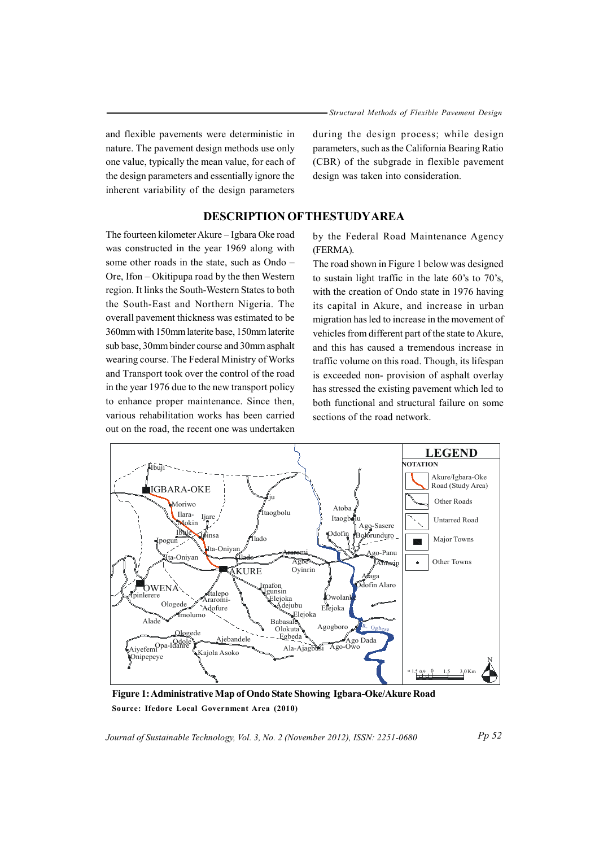and flexible pavements were deterministic in nature. The pavement design methods use only one value, typically the mean value, for each of the design parameters and essentially ignore the inherent variability of the design parameters

during the design process; while design parameters, such as the California Bearing Ratio (CBR) of the subgrade in flexible pavement design was taken into consideration.

### **DESCRIPTION OF THESTUDY AREA**

The fourteen kilometer Akure - Igbara Oke road was constructed in the year 1969 along with some other roads in the state, such as Ondo -Ore, Ifon – Okitipupa road by the then Western region. It links the South-Western States to both the South-East and Northern Nigeria. The overall payement thickness was estimated to be 360mm with 150mm laterite base, 150mm laterite sub base, 30mm binder course and 30mm asphalt wearing course. The Federal Ministry of Works and Transport took over the control of the road in the year 1976 due to the new transport policy to enhance proper maintenance. Since then, various rehabilitation works has been carried out on the road, the recent one was undertaken

by the Federal Road Maintenance Agency (FERMA).

The road shown in Figure 1 below was designed to sustain light traffic in the late  $60$ 's to  $70$ 's, with the creation of Ondo state in 1976 having its capital in Akure, and increase in urban migration has led to increase in the movement of vehicles from different part of the state to Akure, and this has caused a tremendous increase in traffic volume on this road. Though, its lifespan is exceeded non-provision of asphalt overlay has stressed the existing pavement which led to both functional and structural failure on some sections of the road network.



Figure 1: Administrative Map of Ondo State Showing Igbara-Oke/Akure Road Source: Ifedore Local Government Area (2010)

Journal of Sustainable Technology, Vol. 3, No. 2 (November 2012), ISSN: 2251-0680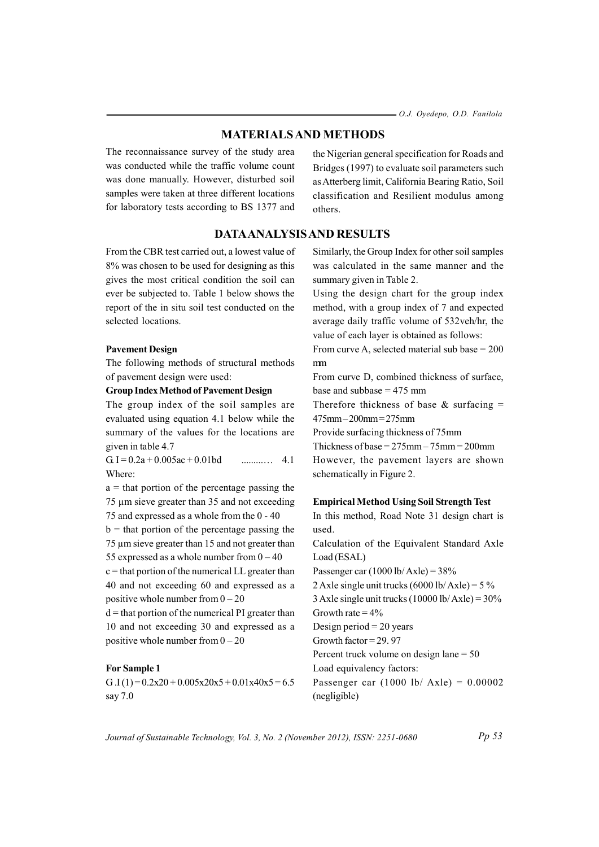### **MATERIALS AND METHODS**

The reconnaissance survey of the study area was conducted while the traffic volume count was done manually. However, disturbed soil samples were taken at three different locations for laboratory tests according to BS 1377 and

the Nigerian general specification for Roads and Bridges (1997) to evaluate soil parameters such as Atterberg limit, California Bearing Ratio, Soil classification and Resilient modulus among others.

### **DATA ANALYSIS AND RESULTS**

From the CBR test carried out a lowest value of 8% was chosen to be used for designing as this gives the most critical condition the soil can ever be subjected to. Table 1 below shows the report of the in situ soil test conducted on the selected locations.

#### **Pavement Design**

The following methods of structural methods of pavement design were used:

### **Group Index Method of Pavement Design**

The group index of the soil samples are evaluated using equation 4.1 below while the summary of the values for the locations are given in table 4.7

G. I =  $0.2a + 0.005ac + 0.01bd$  $41$ Where:

 $a =$  that portion of the percentage passing the 75 µm sieve greater than 35 and not exceeding 75 and expressed as a whole from the 0 - 40

 $b =$  that portion of the percentage passing the 75 µm sieve greater than 15 and not greater than 55 expressed as a whole number from  $0 - 40$ 

 $c =$  that portion of the numerical LL greater than 40 and not exceeding 60 and expressed as a positive whole number from  $0 - 20$ 

 $d =$  that portion of the numerical PI greater than 10 and not exceeding 30 and expressed as a positive whole number from  $0 - 20$ 

#### **For Sample 1**

G.I(1)= $0.2x20 + 0.005x20x5 + 0.01x40x5 = 6.5$ say 7.0

Similarly, the Group Index for other soil samples was calculated in the same manner and the summary given in Table 2.

Using the design chart for the group index method, with a group index of 7 and expected average daily traffic volume of 532veh/hr, the value of each layer is obtained as follows:

From curve A, selected material sub base =  $200$  $mm$ 

From curve D, combined thickness of surface, base and subbase =  $475$  mm

Therefore thickness of base & surfacing  $=$  $475$ mm $-200$ mm $=275$ mm

Provide surfacing thickness of 75mm

Thickness of base =  $275$ mm  $-75$ mm =  $200$ mm However, the payement layers are shown schematically in Figure 2.

#### **Empirical Method Using Soil Strength Test**

In this method, Road Note 31 design chart is used.

Calculation of the Equivalent Standard Axle Load (ESAL)

Passenger car  $(1000 \text{ lb/Axle}) = 38\%$ 

2 Axle single unit trucks  $(6000 \text{ lb/Axle}) = 5 \%$ 3 Axle single unit trucks  $(10000 \text{ lb/Axle}) = 30\%$ 

Growth rate =  $4\%$ Design period =  $20$  years

Growth factor =  $29.97$ 

Percent truck volume on design lane  $= 50$ 

Load equivalency factors:

Passenger car  $(1000 \text{ lb/ Axle}) = 0.00002$ (negligible)

Journal of Sustainable Technology, Vol. 3, No. 2 (November 2012), ISSN: 2251-0680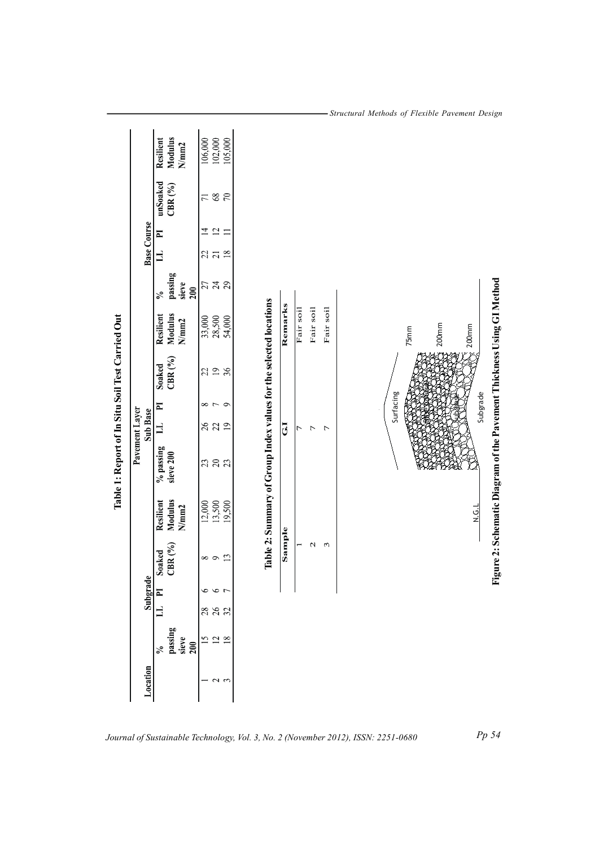| Table 1: Report of In Situ Soil Test Carried Out | <b>Base Course</b><br>Pavement Layer<br>Sub Base<br>Subgrade | <b>Modulus</b><br>Resilient<br>N/mm2<br>unSoaked<br>$\mathrm{CBR}\,(^\mathrm{0}\!/_\mathrm{0})$<br>$\overline{P}$<br>$\Xi$<br>passing<br>sieve<br>200<br>$\mathcal{S}_{\bullet}$<br><b>Modulus</b><br>Resilient<br>N/mm2<br>$\mathrm{CBR}\,(^\mathrm{0}\!/_\mathrm{0})$<br>Soaked<br>E<br>$\mathbf{r}$<br>$\%$ passing<br>sieve 200<br><b>Modulus</b><br>Resilient<br>N/mm2<br>CBR $(^{9}/_{0})$<br>Soaked | 106,000<br>105,000<br>102,000<br>$68\,$<br>$70\,$<br>$\overline{7}$<br>$\overline{\mathfrak{L}}$<br>$\overline{4}$<br>$\equiv$<br>18<br>27<br><b>ភ</b> <del>ភ</del> ន<br>33,000<br>28,500<br>54,000<br>22<br>36<br>$\infty$ $\sim$ $\infty$<br>282<br>383<br>13,500<br>12,000<br>19,500<br>13<br>${}^{\circ}$<br>$\circ$<br>$\circ$<br>$\bullet$ | Table 2: Summary of Group Index values for the selected locations | Remarks<br>$\overline{G}$<br>Sample | Fair soil<br>Γ | Fair soil<br>Γ<br>N | Fair soil<br>$\overline{C}$<br>3 | Surfacing | $200$ mm<br>75 <sub>mm</sub> |
|--------------------------------------------------|--------------------------------------------------------------|------------------------------------------------------------------------------------------------------------------------------------------------------------------------------------------------------------------------------------------------------------------------------------------------------------------------------------------------------------------------------------------------------------|--------------------------------------------------------------------------------------------------------------------------------------------------------------------------------------------------------------------------------------------------------------------------------------------------------------------------------------------------|-------------------------------------------------------------------|-------------------------------------|----------------|---------------------|----------------------------------|-----------|------------------------------|
|                                                  |                                                              |                                                                                                                                                                                                                                                                                                                                                                                                            |                                                                                                                                                                                                                                                                                                                                                  |                                                                   |                                     |                |                     |                                  |           | <b>N.G.L</b>                 |
|                                                  |                                                              | $\mathbf{H}$                                                                                                                                                                                                                                                                                                                                                                                               |                                                                                                                                                                                                                                                                                                                                                  |                                                                   |                                     |                |                     |                                  |           |                              |
|                                                  |                                                              | passing<br>sieve<br>200<br>$\frac{5}{6}$                                                                                                                                                                                                                                                                                                                                                                   | $\overline{15}$<br>$\approx$ $\approx$                                                                                                                                                                                                                                                                                                           |                                                                   |                                     |                |                     |                                  |           |                              |
|                                                  | Location                                                     |                                                                                                                                                                                                                                                                                                                                                                                                            | $\sim$ $\sim$                                                                                                                                                                                                                                                                                                                                    |                                                                   |                                     |                |                     |                                  |           |                              |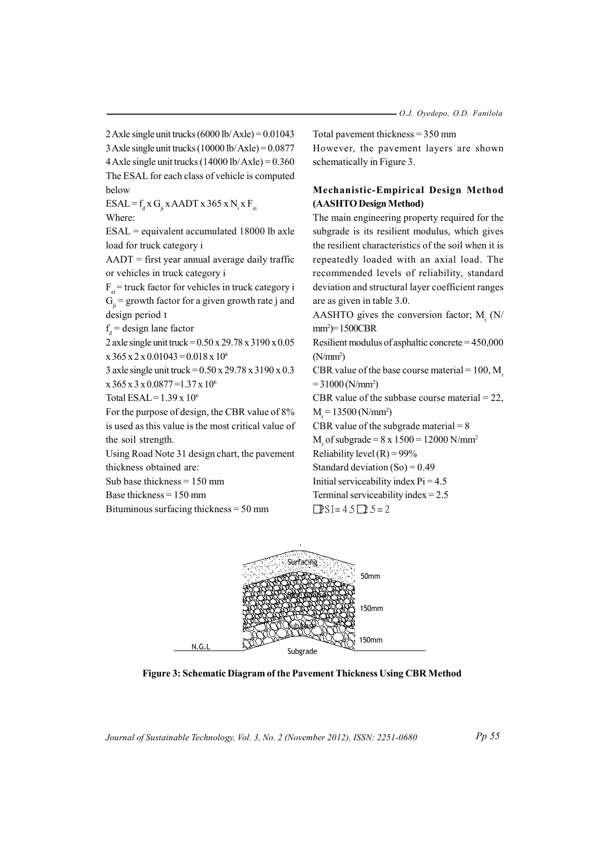2 Axle single unit trucks  $(6000 \text{ lb/Axle}) = 0.01043$ 3 Axle single unit trucks  $(10000 \text{ lb/Axle}) = 0.0877$ 4 Axle single unit trucks  $(14000 \text{ lb/Axle}) = 0.360$ The ESAL for each class of vehicle is computed below

ESAL =  $f_d$  x G<sub>ii</sub> x AADT x 365 x N<sub>i</sub> x F<sub>ei</sub>

Where:

 $ESAL =$  equivalent accumulated 18000 lb axle load for truck category i

 $AADT$  = first year annual average daily traffic or vehicles in truck category i

 $F_{n}$  = truck factor for vehicles in truck category i  $G_i$  = growth factor for a given growth rate j and design period t

 $f_a$  = design lane factor

2 axle single unit truck = 0.50 x 29.78 x 3190 x 0.05  $x 365 x 2 x 0.01043 = 0.018 x 10^6$ 

3 axle single unit truck =  $0.50 \times 29.78 \times 3190 \times 0.3$  $x 365 x 3 x 0.0877 = 1.37 x 10^6$ 

Total ESAL =  $1.39 \times 10^6$ 

For the purpose of design, the CBR value of 8% is used as this value is the most critical value of the soil strength.

Using Road Note 31 design chart, the pavement thickness obtained are:

Sub base thickness =  $150$  mm

Base thickness  $= 150$  mm

Bituminous surfacing thickness  $=$  50 mm

Total payment thickness =  $350$  mm

However, the pavement layers are shown schematically in Figure 3.

### Mechanistic-Empirical Design Method (AASHTO Design Method)

The main engineering property required for the subgrade is its resilient modulus, which gives the resilient characteristics of the soil when it is repeatedly loaded with an axial load. The recommended levels of reliability, standard deviation and structural layer coefficient ranges are as given in table 3.0.

AASHTO gives the conversion factor; M. (N/  $mm^2$ =1500CBR

Resilient modulus of asphaltic concrete =  $450,000$  $(N/mm<sup>2</sup>)$ 

CBR value of the base course material =  $100$ . M  $= 31000$  (N/mm<sup>2</sup>)

CBR value of the subbase course material =  $22$ ,

 $M_r = 13500 (N/mm^2)$ 

CBR value of the subgrade material  $= 8$ 

M<sub>r</sub> of subgrade =  $8 \times 1500 = 12000 \text{ N/mm}^2$ 

Reliability level  $(R) = 99\%$ 

Standard deviation  $(So) = 0.49$ 

Initial serviceability index  $Pi = 4.5$ Terminal serviceability index =  $2.5$ 

 $PSI = 45 \square 5 = 2$ 



Figure 3: Schematic Diagram of the Pavement Thickness Using CBR Method

Journal of Sustainable Technology, Vol. 3, No. 2 (November 2012), ISSN: 2251-0680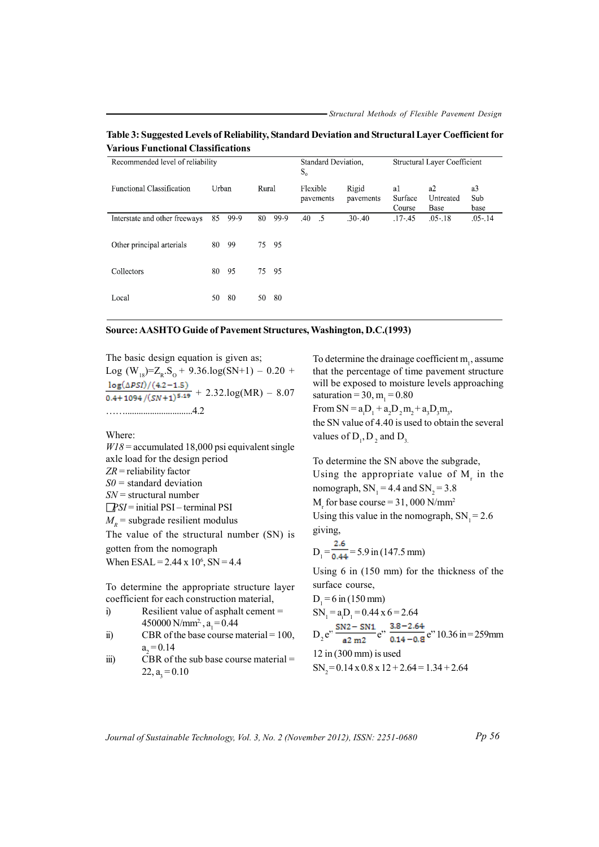Table 3: Suggested Levels of Reliability, Standard Deviation and Structural Layer Coefficient for **Various Functional Classifications** 

| Recommended level of reliability |       |      |       |      |          | Standard Deviation, |                    | Structural Layer Coefficient |                         |                   |
|----------------------------------|-------|------|-------|------|----------|---------------------|--------------------|------------------------------|-------------------------|-------------------|
| <b>Functional Classification</b> | Urban |      | Rural |      | Flexible | pavements           | Rigid<br>pavements | a1<br>Surface<br>Course      | a2<br>Untreated<br>Base | a3<br>Sub<br>base |
| Interstate and other freeways    | 85    | 99-9 | 80    | 99-9 | $.40-.5$ |                     | $.30 - .40$        | .17-.45                      | $.05 - 18$              | $.05$ $.14$       |
| Other principal arterials        | 80    | 99   | 75    | -95  |          |                     |                    |                              |                         |                   |
| Collectors                       | 80    | 95   | 75    | - 95 |          |                     |                    |                              |                         |                   |
| Local                            | 50    | 80   | 50    | 80   |          |                     |                    |                              |                         |                   |

#### Source: AASHTO Guide of Pavement Structures, Washington, D.C.(1993)

The basic design equation is given as; Log (W<sub>12</sub>)=Z<sub>p</sub>.S<sub>o</sub> + 9.36.log(SN+1) – 0.20 +  $\frac{\log(\Delta PSI)/(4.2-1.5)}{0.4+1094/(SN+1)^{5.19}} + 2.32 \log(MR) - 8.07$ 

Where:

 $W18$  = accumulated 18,000 psi equivalent single axle load for the design period  $ZR =$  reliability factor  $SO =$  standard deviation  $SN =$  structural number  $PSI = initial PSI - terminal PSI$  $M_{\nu}$  = subgrade resilient modulus The value of the structural number (SN) is gotten from the nomograph When ESAL =  $2.44 \times 10^6$ , SN = 4.4

To determine the appropriate structure layer coefficient for each construction material,

- Resilient value of asphalt cement =  $\ddot{a}$ 450000 N/mm<sup>2</sup>, a<sub>1</sub> = 0.44
- CBR of the base course material =  $100$ ,  $\ddot{u}$  $a_{0} = 0.14$
- CBR of the sub base course material  $=$  $\overline{iii}$  $22, a_{3} = 0.10$

To determine the drainage coefficient m<sub>1</sub>, assume that the percentage of time pavement structure will be exposed to moisture levels approaching saturation = 30, m<sub>1</sub> = 0.80

From SN =  $a_1D_1 + a_2D_2m_2 + a_3D_3m_3$ ,

the SN value of 4.40 is used to obtain the several values of  $D_1$ ,  $D_2$  and  $D_3$ 

To determine the SN above the subgrade, Using the appropriate value of  $M<sub>r</sub>$  in the nomograph,  $SN_1 = 4.4$  and  $SN_2 = 3.8$ 

M<sub>r</sub> for base course =  $31,000$  N/mm<sup>2</sup>

Using this value in the nomograph,  $SN_1 = 2.6$ giving,

$$
D_1 = \frac{2.6}{0.44} = 5.9 \text{ in } (147.5 \text{ mm})
$$

Using  $6$  in  $(150 \text{ mm})$  for the thickness of the surface course,

$$
D_1 = 6 \text{ in } (150 \text{ mm})
$$
  
\n
$$
SN_1 = a_1D_1 = 0.44 \times 6 = 2.64
$$
  
\n
$$
D_2 e^{y} = \frac{SN2 - SN1}{a2 m2} e^{y} = \frac{3.8 - 2.64}{0.14 - 0.8} e^{y} = 10.36 \text{ in } = 259 \text{ mm}
$$
  
\n
$$
12 \text{ in } (300 \text{ mm}) \text{ is used}
$$
  
\n
$$
SN_2 = 0.14 \times 0.8 \times 12 + 2.64 = 1.34 + 2.64
$$

Journal of Sustainable Technology, Vol. 3, No. 2 (November 2012), ISSN: 2251-0680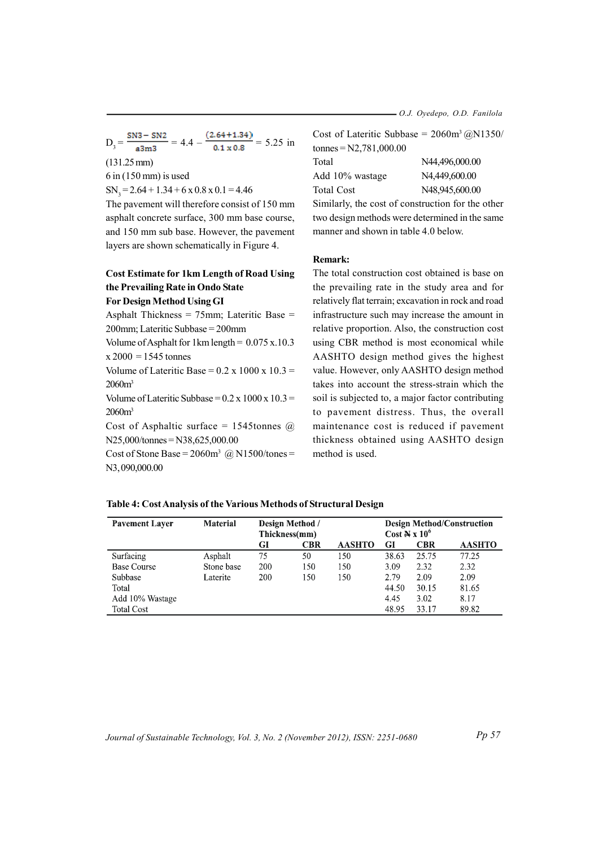- O.J. Oyedepo, O.D. Fanilola

$$
D_3 = \frac{SN3 - SN2}{a3m3} = 4.4 - \frac{(2.64 + 1.34)}{0.1 \times 0.8} = 5.25 \text{ in}
$$
  
(131.25 mm)

 $6$  in (150 mm) is used

 $SN_3 = 2.64 + 1.34 + 6 \times 0.8 \times 0.1 = 4.46$ 

The pavement will therefore consist of 150 mm asphalt concrete surface, 300 mm base course, and 150 mm sub base. However, the pavement layers are shown schematically in Figure 4.

## **Cost Estimate for 1km Length of Road Using** the Prevailing Rate in Ondo State

### **For Design Method Using GI**

Asphalt Thickness =  $75$ mm; Lateritic Base = 200mm; Lateritic Subbase = 200mm

Volume of Asphalt for  $1 \text{km}$  length =  $0.075 \text{ x}$ . 10.3  $x 2000 = 1545$  tonnes

Volume of Lateritic Base =  $0.2 \times 1000 \times 10.3$  =  $2060m<sup>3</sup>$ 

Volume of Lateritic Subbase =  $0.2 \times 1000 \times 10.3$  =  $2060m<sup>3</sup>$ 

Cost of Asphaltic surface = 1545 tonnes  $\omega$  $N25,000/tonnes = N38,625,000.00$ 

Cost of Stone Base =  $2060m^3$  @ N1500/tones = N3,090,000.00

|                          | Cost of Lateritic Subbase = $2060m^3 \omega N1350$ |
|--------------------------|----------------------------------------------------|
| tonnes = $N2,781,000.00$ |                                                    |
| Total                    | N44,496,000.00                                     |
| Add 10% wastage          | N4,449,600.00                                      |
| Total Cost               | N48.945.600.00                                     |
|                          | Similarly, the cost of construction for the other  |

two design methods were determined in the same manner and shown in table 4.0 below.

#### **Remark:**

The total construction cost obtained is base on the prevailing rate in the study area and for relatively flat terrain; excavation in rock and road infrastructure such may increase the amount in relative proportion. Also, the construction cost using CBR method is most economical while AASHTO design method gives the highest value. However, only AASHTO design method takes into account the stress-strain which the soil is subjected to, a major factor contributing to pavement distress. Thus, the overall maintenance cost is reduced if pavement thickness obtained using AASHTO design method is used.

#### Table 4: Cost Analysis of the Various Methods of Structural Design

| <b>Pavement Layer</b> | <b>Material</b> | <b>Design Method</b> / |            |               | <b>Design Method/Construction</b> |            |               |  |
|-----------------------|-----------------|------------------------|------------|---------------|-----------------------------------|------------|---------------|--|
|                       |                 | Thickness(mm)          |            |               | Cost $\mathbb{N} \times 10^6$     |            |               |  |
|                       |                 | GI                     | <b>CBR</b> | <b>AASHTO</b> | GI                                | <b>CBR</b> | <b>AASHTO</b> |  |
| Surfacing             | Asphalt         | 75                     | 50         | 150           | 38.63                             | 25.75      | 77.25         |  |
| <b>Base Course</b>    | Stone base      | 200                    | 150        | 150           | 3.09                              | 2.32       | 2.32          |  |
| Subbase               | Laterite        | 200                    | 150        | 150           | 2.79                              | 2.09       | 2.09          |  |
| Total                 |                 |                        |            |               | 44.50                             | 30.15      | 81.65         |  |
| Add 10% Wastage       |                 |                        |            |               | 4.45                              | 3.02       | 8.17          |  |
| <b>Total Cost</b>     |                 |                        |            |               | 48.95                             | 33.17      | 89.82         |  |